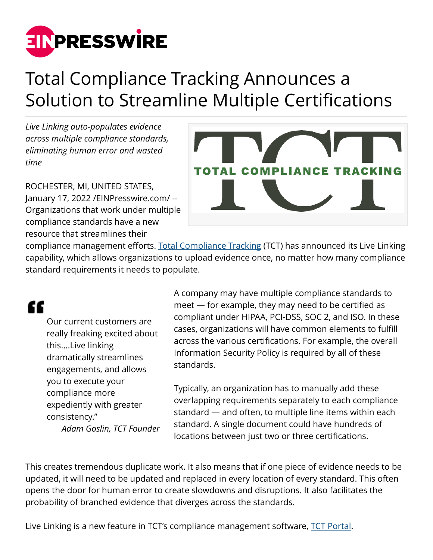

## Total Compliance Tracking Announces a Solution to Streamline Multiple Certifications

*Live Linking auto-populates evidence across multiple compliance standards, eliminating human error and wasted time*

ROCHESTER, MI, UNITED STATES, January 17, 2022 /[EINPresswire.com](http://www.einpresswire.com)/ -- Organizations that work under multiple compliance standards have a new resource that streamlines their



compliance management efforts. [Total Compliance Tracking](https://totalcompliancetracking.com) (TCT) has announced its Live Linking capability, which allows organizations to upload evidence once, no matter how many compliance standard requirements it needs to populate.

## "

Our current customers are really freaking excited about this....Live linking dramatically streamlines engagements, and allows you to execute your compliance more expediently with greater consistency." *Adam Goslin, TCT Founder* A company may have multiple compliance standards to meet — for example, they may need to be certified as compliant under HIPAA, PCI-DSS, SOC 2, and ISO. In these cases, organizations will have common elements to fulfill across the various certifications. For example, the overall Information Security Policy is required by all of these standards.

Typically, an organization has to manually add these overlapping requirements separately to each compliance standard — and often, to multiple line items within each standard. A single document could have hundreds of locations between just two or three certifications.

This creates tremendous duplicate work. It also means that if one piece of evidence needs to be updated, it will need to be updated and replaced in every location of every standard. This often opens the door for human error to create slowdowns and disruptions. It also facilitates the probability of branched evidence that diverges across the standards.

Live Linking is a new feature in TCT's compliance management software, [TCT Portal.](https://www.totalcompliancetracking.com/compliancesoftware/)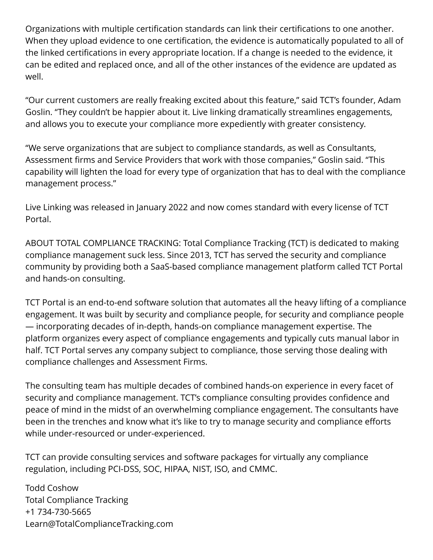Organizations with multiple certification standards can link their certifications to one another. When they upload evidence to one certification, the evidence is automatically populated to all of the linked certifications in every appropriate location. If a change is needed to the evidence, it can be edited and replaced once, and all of the other instances of the evidence are updated as well.

"Our current customers are really freaking excited about this feature," said TCT's founder, Adam Goslin. "They couldn't be happier about it. Live linking dramatically streamlines engagements, and allows you to execute your compliance more expediently with greater consistency.

"We serve organizations that are subject to compliance standards, as well as Consultants, Assessment firms and Service Providers that work with those companies," Goslin said. "This capability will lighten the load for every type of organization that has to deal with the compliance management process."

Live Linking was released in January 2022 and now comes standard with every license of TCT Portal.

ABOUT TOTAL COMPLIANCE TRACKING: Total Compliance Tracking (TCT) is dedicated to making compliance management suck less. Since 2013, TCT has served the security and compliance community by providing both a SaaS-based compliance management platform called TCT Portal and hands-on consulting.

TCT Portal is an end-to-end software solution that automates all the heavy lifting of a compliance engagement. It was built by security and compliance people, for security and compliance people — incorporating decades of in-depth, hands-on compliance management expertise. The platform organizes every aspect of compliance engagements and typically cuts manual labor in half. TCT Portal serves any company subject to compliance, those serving those dealing with compliance challenges and Assessment Firms.

The consulting team has multiple decades of combined hands-on experience in every facet of security and compliance management. TCT's compliance consulting provides confidence and peace of mind in the midst of an overwhelming compliance engagement. The consultants have been in the trenches and know what it's like to try to manage security and compliance efforts while under-resourced or under-experienced.

TCT can provide consulting services and software packages for virtually any compliance regulation, including PCI-DSS, SOC, HIPAA, NIST, ISO, and CMMC.

Todd Coshow Total Compliance Tracking +1 734-730-5665 Learn@TotalComplianceTracking.com